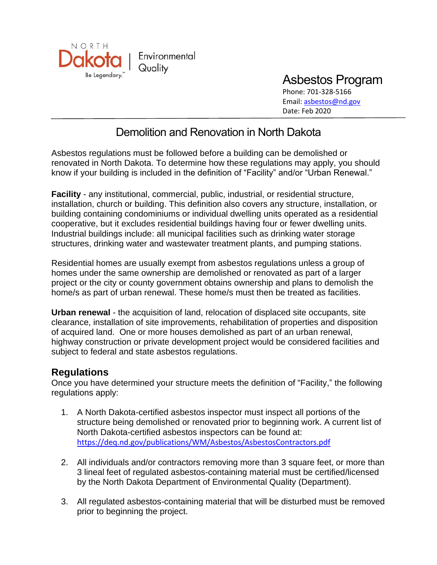

Asbestos Program Phone: 701-328-5166 Email: [asbestos@nd.gov](mailto:asbestos@nd.gov) Date: Feb 2020

# Demolition and Renovation in North Dakota

Asbestos regulations must be followed before a building can be demolished or renovated in North Dakota. To determine how these regulations may apply, you should know if your building is included in the definition of "Facility" and/or "Urban Renewal."

**Facility** - any institutional, commercial, public, industrial, or residential structure, installation, church or building. This definition also covers any structure, installation, or building containing condominiums or individual dwelling units operated as a residential cooperative, but it excludes residential buildings having four or fewer dwelling units. Industrial buildings include: all municipal facilities such as drinking water storage structures, drinking water and wastewater treatment plants, and pumping stations.

Residential homes are usually exempt from asbestos regulations unless a group of homes under the same ownership are demolished or renovated as part of a larger project or the city or county government obtains ownership and plans to demolish the home/s as part of urban renewal. These home/s must then be treated as facilities.

**Urban renewal** - the acquisition of land, relocation of displaced site occupants, site clearance, installation of site improvements, rehabilitation of properties and disposition of acquired land. One or more houses demolished as part of an urban renewal, highway construction or private development project would be considered facilities and subject to federal and state asbestos regulations.

#### **Regulations**

Once you have determined your structure meets the definition of "Facility," the following regulations apply:

- 1. A North Dakota-certified asbestos inspector must inspect all portions of the structure being demolished or renovated prior to beginning work. A current list of North Dakota-certified asbestos inspectors can be found at: <https://deq.nd.gov/publications/WM/Asbestos/AsbestosContractors.pdf>
- 2. All individuals and/or contractors removing more than 3 square feet, or more than 3 lineal feet of regulated asbestos-containing material must be certified/licensed by the North Dakota Department of Environmental Quality (Department).
- 3. All regulated asbestos-containing material that will be disturbed must be removed prior to beginning the project.